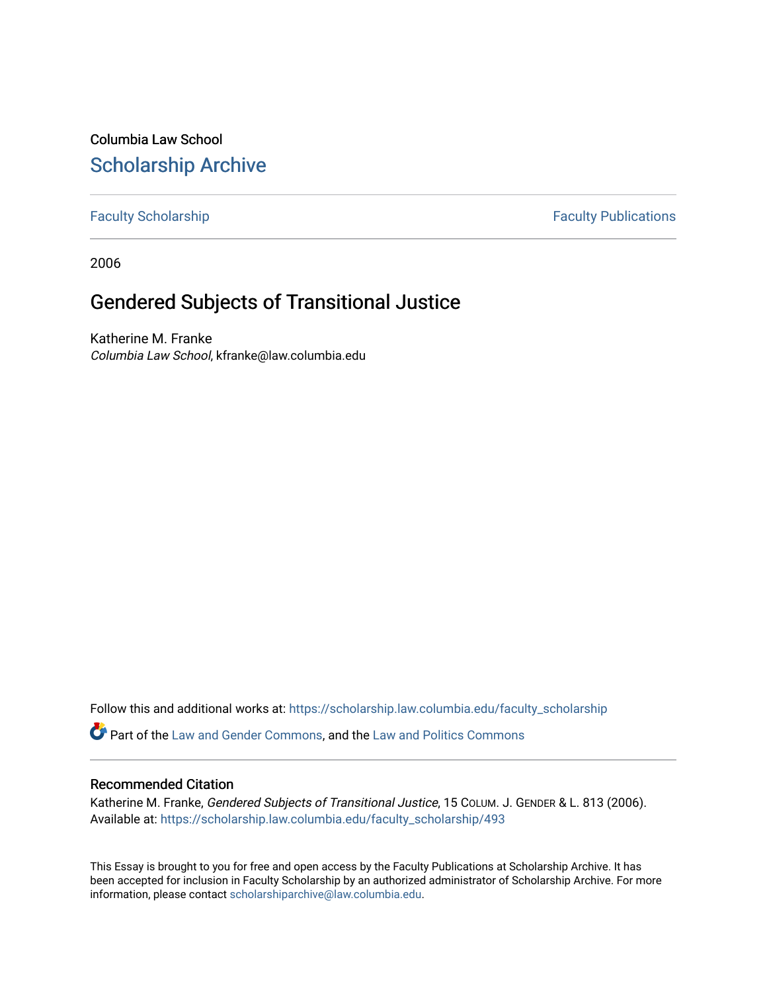Columbia Law School [Scholarship Archive](https://scholarship.law.columbia.edu/) 

[Faculty Scholarship](https://scholarship.law.columbia.edu/faculty_scholarship) **Faculty Scholarship Faculty Publications** 

2006

# Gendered Subjects of Transitional Justice

Katherine M. Franke Columbia Law School, kfranke@law.columbia.edu

Follow this and additional works at: [https://scholarship.law.columbia.edu/faculty\\_scholarship](https://scholarship.law.columbia.edu/faculty_scholarship?utm_source=scholarship.law.columbia.edu%2Ffaculty_scholarship%2F493&utm_medium=PDF&utm_campaign=PDFCoverPages)

Part of the [Law and Gender Commons,](http://network.bepress.com/hgg/discipline/1298?utm_source=scholarship.law.columbia.edu%2Ffaculty_scholarship%2F493&utm_medium=PDF&utm_campaign=PDFCoverPages) and the [Law and Politics Commons](http://network.bepress.com/hgg/discipline/867?utm_source=scholarship.law.columbia.edu%2Ffaculty_scholarship%2F493&utm_medium=PDF&utm_campaign=PDFCoverPages) 

### Recommended Citation

Katherine M. Franke, Gendered Subjects of Transitional Justice, 15 COLUM. J. GENDER & L. 813 (2006). Available at: [https://scholarship.law.columbia.edu/faculty\\_scholarship/493](https://scholarship.law.columbia.edu/faculty_scholarship/493?utm_source=scholarship.law.columbia.edu%2Ffaculty_scholarship%2F493&utm_medium=PDF&utm_campaign=PDFCoverPages) 

This Essay is brought to you for free and open access by the Faculty Publications at Scholarship Archive. It has been accepted for inclusion in Faculty Scholarship by an authorized administrator of Scholarship Archive. For more information, please contact [scholarshiparchive@law.columbia.edu.](mailto:scholarshiparchive@law.columbia.edu)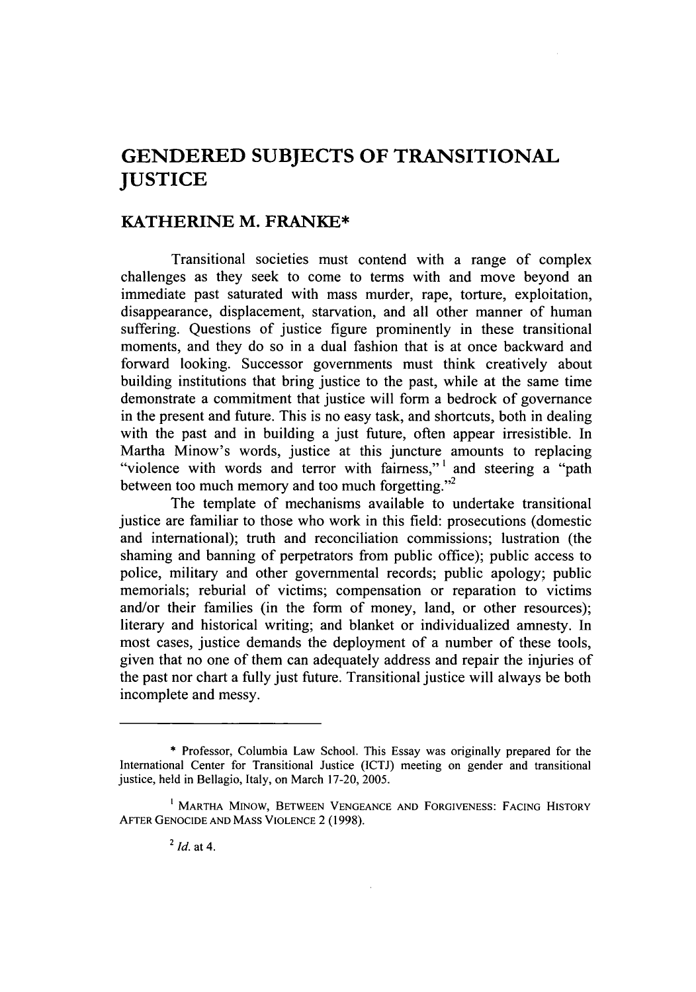## **GENDERED SUBJECTS OF TRANSITIONAL JUSTICE**

### KATHERINE **M.** FRANKE\*

Transitional societies must contend with a range of complex challenges as they seek to come to terms with and move beyond an immediate past saturated with mass murder, rape, torture, exploitation, disappearance, displacement, starvation, and all other manner of human suffering. Questions of justice figure prominently in these transitional moments, and they do so in a dual fashion that is at once backward and forward looking. Successor governments must think creatively about building institutions that bring justice to the past, while at the same time demonstrate a commitment that justice will form a bedrock of governance in the present and future. This is no easy task, and shortcuts, both in dealing with the past and in building a just future, often appear irresistible. In Martha Minow's words, justice at this juncture amounts to replacing "violence with words and terror with fairness,"<sup>1</sup> and steering a "path between too much memory and too much forgetting."<sup>2</sup>

The template of mechanisms available to undertake transitional justice are familiar to those who work in this field: prosecutions (domestic and international); truth and reconciliation commissions; lustration (the shaming and banning of perpetrators from public office); public access to police, military and other governmental records; public apology; public memorials; reburial of victims; compensation or reparation to victims and/or their families (in the form of money, land, or other resources); literary and historical writing; and blanket or individualized amnesty. In most cases, justice demands the deployment of a number of these tools, given that no one of them can adequately address and repair the injuries of the past nor chart a fully just future. Transitional justice will always be both incomplete and messy.

<sup>\*</sup> Professor, Columbia Law School. This Essay was originally prepared for the International Center for Transitional Justice (ICTJ) meeting on gender and transitional justice, held in Bellagio, Italy, on March 17-20, **2005.**

**<sup>1</sup>** MARTHA M1Now, **BETWEEN VENGEANCE AND** FORGIVENESS: **FACING** HISTORY AFTER **GENOCIDE AND MASS VIOLENCE** 2 (1998).

<sup>2</sup> *Id.* at 4.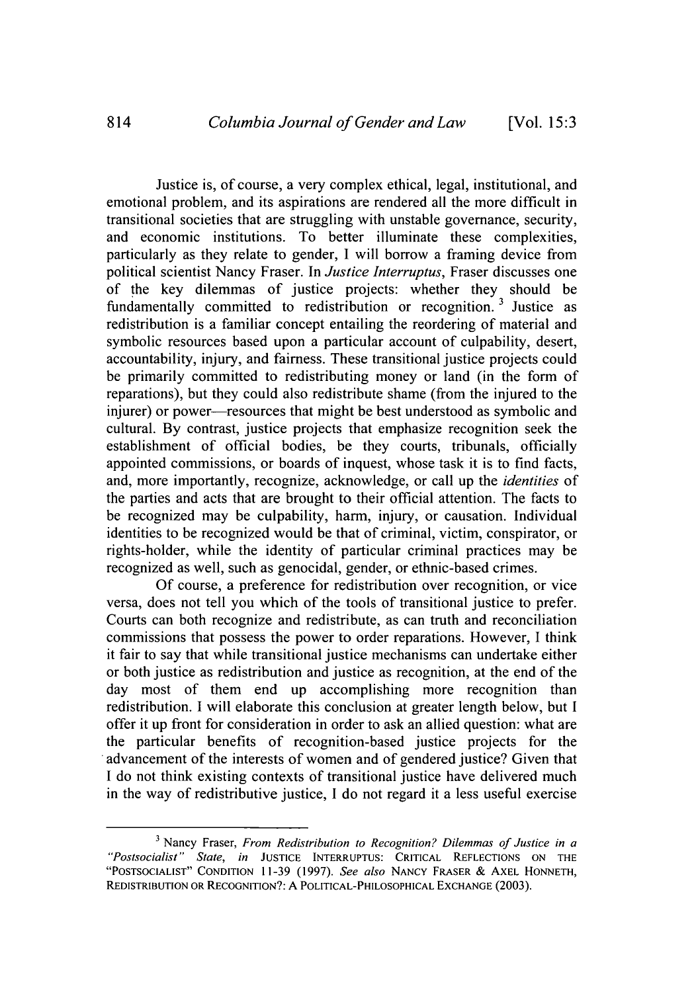Justice is, of course, a very complex ethical, legal, institutional, and emotional problem, and its aspirations are rendered all the more difficult in transitional societies that are struggling with unstable governance, security, and economic institutions. To better illuminate these complexities, particularly as they relate to gender, I will borrow a framing device from political scientist Nancy Fraser. In *Justice Interruptus,* Fraser discusses one of the key dilemmas of justice projects: whether they should be fundamentally committed to redistribution or recognition.<sup>3</sup> Justice as redistribution is a familiar concept entailing the reordering of material and symbolic resources based upon a particular account of culpability, desert, accountability, injury, and fairness. These transitional justice projects could be primarily committed to redistributing money or land (in the form of reparations), but they could also redistribute shame (from the injured to the injurer) or power—resources that might be best understood as symbolic and cultural. By contrast, justice projects that emphasize recognition seek the establishment of official bodies, be they courts, tribunals, officially appointed commissions, or boards of inquest, whose task it is to find facts, and, more importantly, recognize, acknowledge, or call up the *identities* of the parties and acts that are brought to their official attention. The facts to be recognized may be culpability, harm, injury, or causation. Individual identities to be recognized would be that of criminal, victim, conspirator, or rights-holder, while the identity of particular criminal practices may be recognized as well, such as genocidal, gender, or ethnic-based crimes.

Of course, a preference for redistribution over recognition, or vice versa, does not tell you which of the tools of transitional justice to prefer. Courts can both recognize and redistribute, as can truth and reconciliation commissions that possess the power to order reparations. However, I think it fair to say that while transitional justice mechanisms can undertake either or both justice as redistribution and justice as recognition, at the end of the day most of them end up accomplishing more recognition than redistribution. I will elaborate this conclusion at greater length below, but I offer it up front for consideration in order to ask an allied question: what are the particular benefits of recognition-based justice projects for the advancement of the interests of women and of gendered justice? Given that I do not think existing contexts of transitional justice have delivered much in the way of redistributive justice, I do not regard it a less useful exercise

**<sup>3</sup>**Nancy Fraser, *From Redistribution to Recognition? Dilemmas of Justice in a "Postsocialist" State, in* **JUSTICE INTERRUPTUS:** CRITICAL **REFLECTIONS ON** THE **"POSTSOCIALIST" CONDITION** 11-39 (1997). *See also* NANCY FRASER & AXEL **HONNETH, REDISTRIBUTION** OR **RECOGNITION?:** A POLITICAL-PHILOSOPHICAL **EXCHANGE** (2003).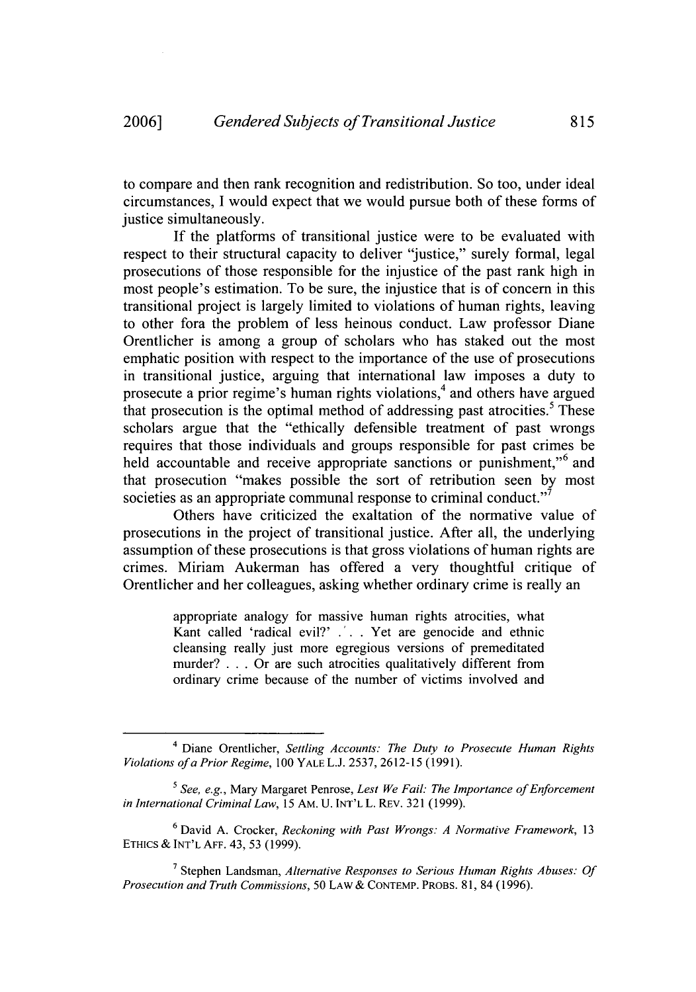to compare and then rank recognition and redistribution. So too, under ideal circumstances, I would expect that we would pursue both of these forms of justice simultaneously.

If the platforms of transitional justice were to be evaluated with respect to their structural capacity to deliver "justice," surely formal, legal prosecutions of those responsible for the injustice of the past rank high in most people's estimation. To be sure, the injustice that is of concern in this transitional project is largely limited to violations of human rights, leaving to other fora the problem of less heinous conduct. Law professor Diane Orentlicher is among a group of scholars who has staked out the most emphatic position with respect to the importance of the use of prosecutions in transitional justice, arguing that international law imposes a duty to prosecute a prior regime's human rights violations,<sup>4</sup> and others have argued that prosecution is the optimal method of addressing past atrocities.<sup>5</sup> These scholars argue that the "ethically defensible treatment of past wrongs requires that those individuals and groups responsible for past crimes be held accountable and receive appropriate sanctions or punishment,"<sup>6</sup> and that prosecution "makes possible the sort of retribution seen by most societies as an appropriate communal response to criminal conduct."<sup>7</sup>

Others have criticized the exaltation of the normative value of prosecutions in the project of transitional justice. After all, the underlying assumption of these prosecutions is that gross violations of human rights are crimes. Miriam Aukerman has offered a very thoughtful critique of Orentlicher and her colleagues, asking whether ordinary crime is really an

> appropriate analogy for massive human rights atrocities, what Kant called 'radical evil?' .'. . Yet are genocide and ethnic cleansing really just more egregious versions of premeditated murder? **. .** . Or are such atrocities qualitatively different from ordinary crime because of the number of victims involved and

<sup>4</sup> Diane Orentlicher, *Settling Accounts: The Duty to Prosecute Human Rights Violations ofa Prior Regime,* 100 YALE L.J. 2537, 2612-15 (1991).

*<sup>5</sup> See, e.g.,* Mary Margaret Penrose, *Lest We Fail: The Importance of Enforcement in International Criminal Law, 15* AM. U. INT'L L. REv. 321 (1999).

**<sup>6</sup>** David A. Crocker, *Reckoning with Past Wrongs: A Normative Framework,* 13 **ETHICS** & INT'L **AFF.** 43, 53 (1999).

**<sup>7</sup>**Stephen Landsman, *Alternative Responses to Serious Human Rights Abuses: Of Prosecution and Truth Commissions,* 50 LAW & CONTEMP. PROBS. 81, 84 (1996).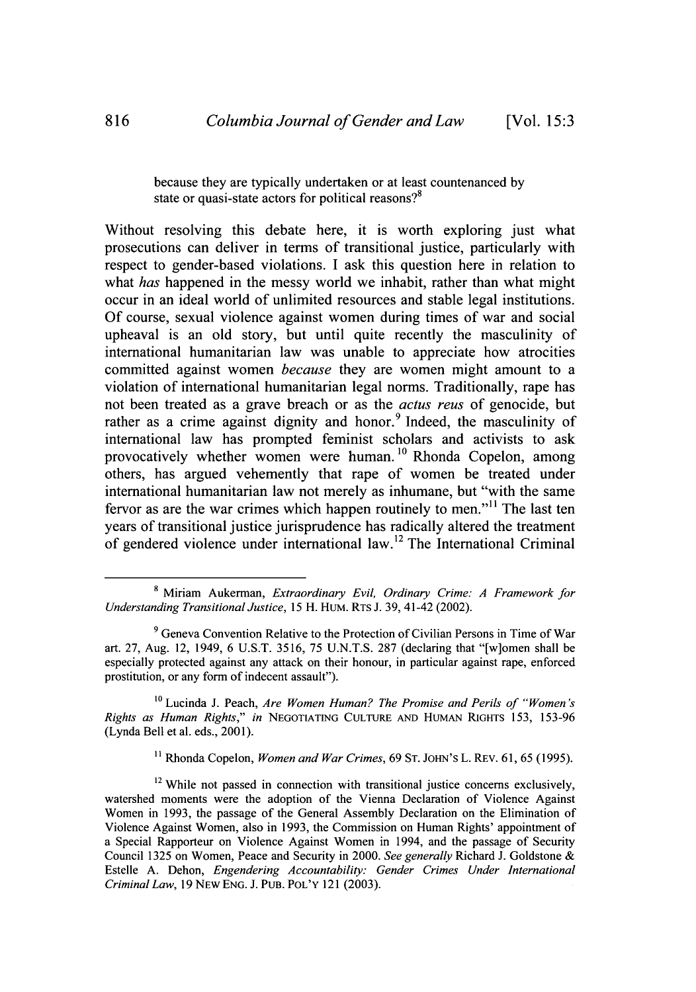because they are typically undertaken or at least countenanced by state or quasi-state actors for political reasons?<sup>8</sup>

Without resolving this debate here, it is worth exploring just what prosecutions can deliver in terms of transitional justice, particularly with respect to gender-based violations. I ask this question here in relation to what *has* happened in the messy world we inhabit, rather than what might occur in an ideal world of unlimited resources and stable legal institutions. Of course, sexual violence against women during times of war and social upheaval is an old story, but until quite recently the masculinity of international humanitarian law was unable to appreciate how atrocities committed against women *because* they are women might amount to a violation of international humanitarian legal norms. Traditionally, rape has not been treated as a grave breach or as the *actus reus* of genocide, but rather as a crime against dignity and honor.<sup>9</sup> Indeed, the masculinity of international law has prompted feminist scholars and activists to ask provocatively whether women were human. **10** Rhonda Copelon, among others, has argued vehemently that rape of women be treated under international humanitarian law not merely as inhumane, but "with the same fervor as are the war crimes which happen routinely to men."<sup>11</sup> The last ten years of transitional justice jurisprudence has radically altered the treatment of gendered violence under international law. 12 The International Criminal

**10** Lucinda J. Peach, *Are Women Human? The Promise and Perils of "Women's Rights as Human Rights," in* **NEGOTIATING CULTURE AND** HUMAN RIGHTS 153, 153-96 (Lynda Bell et al. eds., 2001).

**11** Rhonda Copelon, *Women and War Crimes,* 69 **ST.** JOHN'S L. REv. 61, 65 (1995).

**<sup>8</sup>** Miriam Aukerman, *Extraordinary Evil, Ordinary Crime: A Framework for Understanding Transitional Justice,* 15 H. HUM. RTs J. 39, 41-42 (2002).

<sup>&</sup>lt;sup>9</sup> Geneva Convention Relative to the Protection of Civilian Persons in Time of War art. 27, Aug. 12, 1949, 6 U.S.T. 3516, 75 U.N.T.S. 287 (declaring that "[w]omen shall be especially protected against any attack on their honour, in particular against rape, enforced prostitution, or any form of indecent assault").

 $12$  While not passed in connection with transitional justice concerns exclusively, watershed moments were the adoption of the Vienna Declaration of Violence Against Women in 1993, the passage of the General Assembly Declaration on the Elimination of Violence Against Women, also in 1993, the Commission on Human Rights' appointment of a Special Rapporteur on Violence Against Women in 1994, and the passage of Security Council 1325 on Women, Peace and Security in 2000. *See generally* Richard J. Goldstone & Estelle A. Dehon, *Engendering Accountability: Gender Crimes Under International Criminal Law,* 19 NEw ENG. J. **PUB.** POL'Y 121 (2003).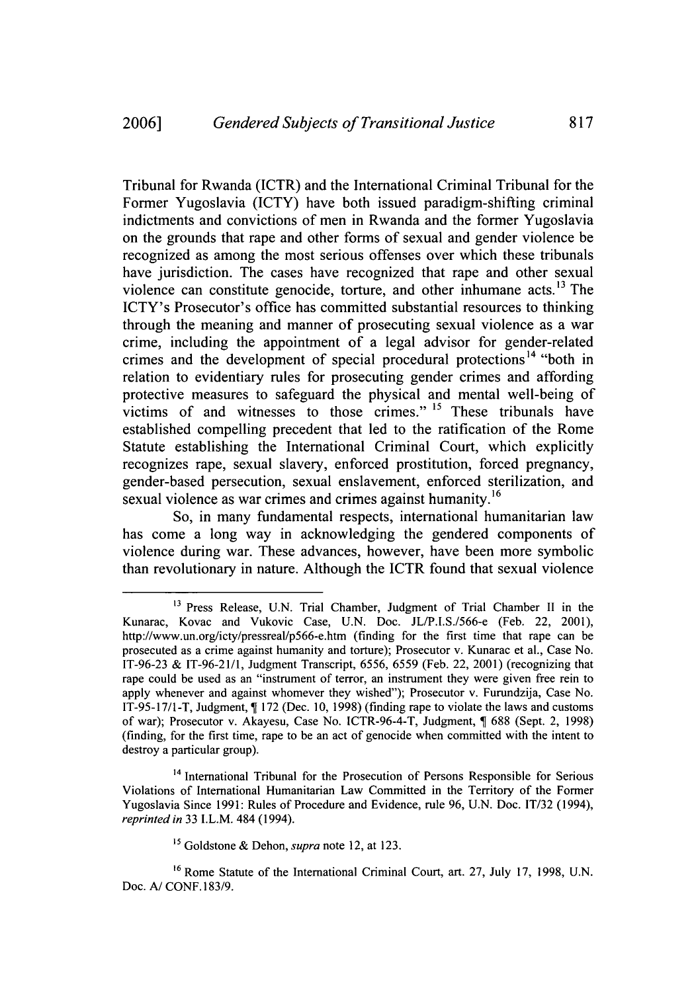Tribunal for Rwanda (ICTR) and the International Criminal Tribunal for the Former Yugoslavia (ICTY) have both issued paradigm-shifting criminal indictments and convictions of men in Rwanda and the former Yugoslavia on the grounds that rape and other forms of sexual and gender violence be recognized as among the most serious offenses over which these tribunals have jurisdiction. The cases have recognized that rape and other sexual violence can constitute genocide, torture, and other inhumane acts.<sup>13</sup> The ICTY's Prosecutor's office has committed substantial resources to thinking through the meaning and manner of prosecuting sexual violence as a war crime, including the appointment of a legal advisor for gender-related crimes and the development of special procedural protections<sup>14</sup> "both in relation to evidentiary rules for prosecuting gender crimes and affording protective measures to safeguard the physical and mental well-being of victims of and witnesses to those crimes." **15** These tribunals have established compelling precedent that led to the ratification of the Rome Statute establishing the International Criminal Court, which explicitly recognizes rape, sexual slavery, enforced prostitution, forced pregnancy, gender-based persecution, sexual enslavement, enforced sterilization, and sexual violence as war crimes and crimes against humanity.<sup>16</sup>

So, in many fundamental respects, international humanitarian law has come a long way in acknowledging the gendered components of violence during war. These advances, however, have been more symbolic than revolutionary in nature. Although the ICTR found that sexual violence

<sup>&</sup>lt;sup>13</sup> Press Release, U.N. Trial Chamber, Judgment of Trial Chamber II in the Kunarac, Kovac and Vukovic Case, U.N. Doc. JL/P.I.S./566-e (Feb. 22, 2001), http://www.un.org/icty/pressreal/p566-e.htm (finding for the first time that rape can be prosecuted as a crime against humanity and torture); Prosecutor v. Kunarac et al., Case No. IT-96-23 & IT-96-21/1, Judgment Transcript, 6556, 6559 (Feb. 22, 2001) (recognizing that rape could be used as an "instrument of terror, an instrument they were given free rein to apply whenever and against whomever they wished"); Prosecutor v. Furundzija, Case No. IT-95-17/1-T, Judgment, 172 (Dec. 10, 1998) (finding rape to violate the laws and customs of war); Prosecutor v. Akayesu, Case No. ICTR-96-4-T, Judgment, 688 (Sept. 2, 1998) (finding, for the first time, rape to be an act of genocide when committed with the intent to destroy a particular group).

<sup>&</sup>lt;sup>14</sup> International Tribunal for the Prosecution of Persons Responsible for Serious Violations of International Humanitarian Law Committed in the Territory of the Former Yugoslavia Since 1991: Rules of Procedure and Evidence, rule 96, U.N. Doc. **IT/32** (1994), *reprinted in* 33 I.L.M. 484 (1994).

**<sup>15</sup>** Goldstone & Dehon, *supra* note 12, at 123.

**<sup>16</sup>** Rome Statute of the International Criminal Court, art. 27, July 17, 1998, U.N. Doc. *A/* CONF. 183/9.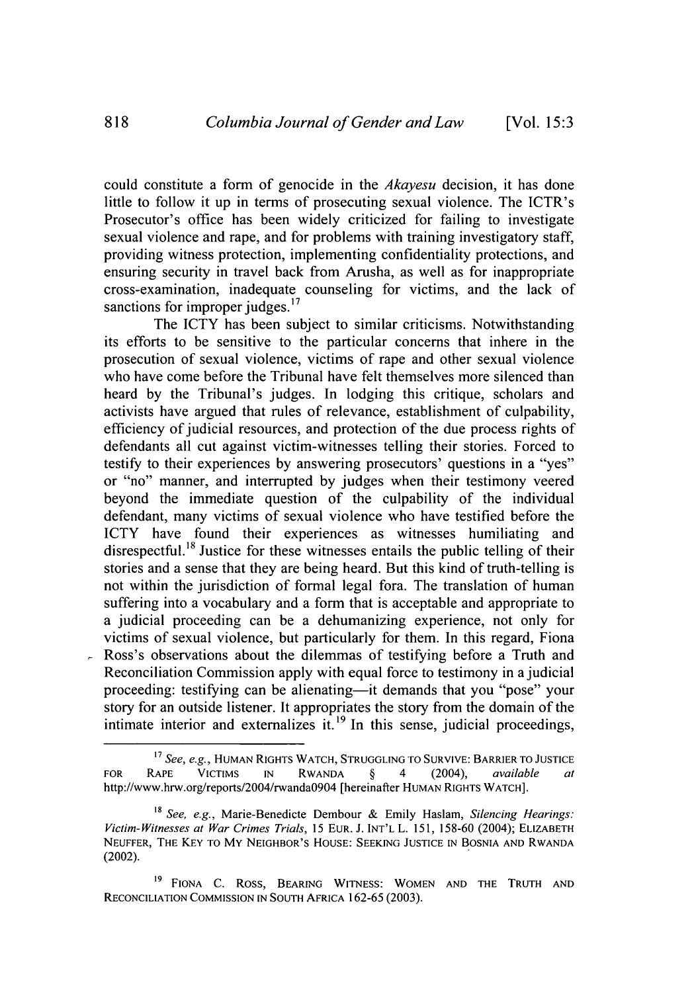could constitute a form of genocide in the *Akayesu* decision, it has done little to follow it up in terms of prosecuting sexual violence. The ICTR's Prosecutor's office has been widely criticized for failing to investigate sexual violence and rape, and for problems with training investigatory staff, providing witness protection, implementing confidentiality protections, and ensuring security in travel back from Arusha, as well as for inappropriate cross-examination, inadequate counseling for victims, and the lack of sanctions for improper judges.<sup>17</sup>

The ICTY has been subject to similar criticisms. Notwithstanding its efforts to be sensitive to the particular concerns that inhere in the prosecution of sexual violence, victims of rape and other sexual violence who have come before the Tribunal have felt themselves more silenced than heard by the Tribunal's judges. In lodging this critique, scholars and activists have argued that rules of relevance, establishment of culpability, efficiency of judicial resources, and protection of the due process rights of defendants all cut against victim-witnesses telling their stories. Forced to testify to their experiences by answering prosecutors' questions in a "yes" or "no" manner, and interrupted by judges when their testimony veered beyond the immediate question of the culpability of the individual defendant, many victims of sexual violence who have testified before the ICTY have found their experiences as witnesses humiliating and disrespectful.<sup>18</sup> Justice for these witnesses entails the public telling of their stories and a sense that they are being heard. But this kind of truth-telling is not within the jurisdiction of formal legal fora. The translation of human suffering into a vocabulary and a form that is acceptable and appropriate to a judicial proceeding can be a dehumanizing experience, not only for victims of sexual violence, but particularly for them. In this regard, Fiona Ross's observations about the dilemmas of testifying before a Truth and Reconciliation Commission apply with equal force to testimony in a judicial proceeding: testifying can be alienating—it demands that you "pose" your story for an outside listener. It appropriates the story from the domain of the intimate interior and externalizes it.<sup>19</sup> In this sense, judicial proceedings,

 $\overline{a}$ 

**<sup>17</sup>** *See, e.g.,* **HUMAN** RIGHTS WATCH, **STRUGGLING** TO **SURVIVE:** BARRIER TO **JUSTICE** *See, e.g.*, HUMAN KIGHIS WATCH, STRUGGLING TO SURVIVE: BAKKIER TO JUSTICE http://www.hrw.org/reports/2004/rwandaO9O4 [hereinafter **HUMAN** RIGHTS WATCH].

**<sup>18</sup>** *See, e.g.,* Marie-Benedicte Dembour & Emily Haslam, *Silencing Hearings: Victim-Witnesses at War Crimes Trials,* 15 **EUR.** J. **INT'L** L. 151, 158-60 (2004); ELIZABETH **NEUFFER,** THE KEY TO MY NEIGHBOR'S HOUSE: **SEEKING JUSTICE IN BOSNIA AND** RWANDA (2002).

**<sup>19</sup> FIONA C.** ROSS, BEARING **WITNESS:** WOMEN **AND** THE TRUTH **AND** RECONCILIATION **COMMISSION IN SOUTH** AFRICA 162-65 (2003).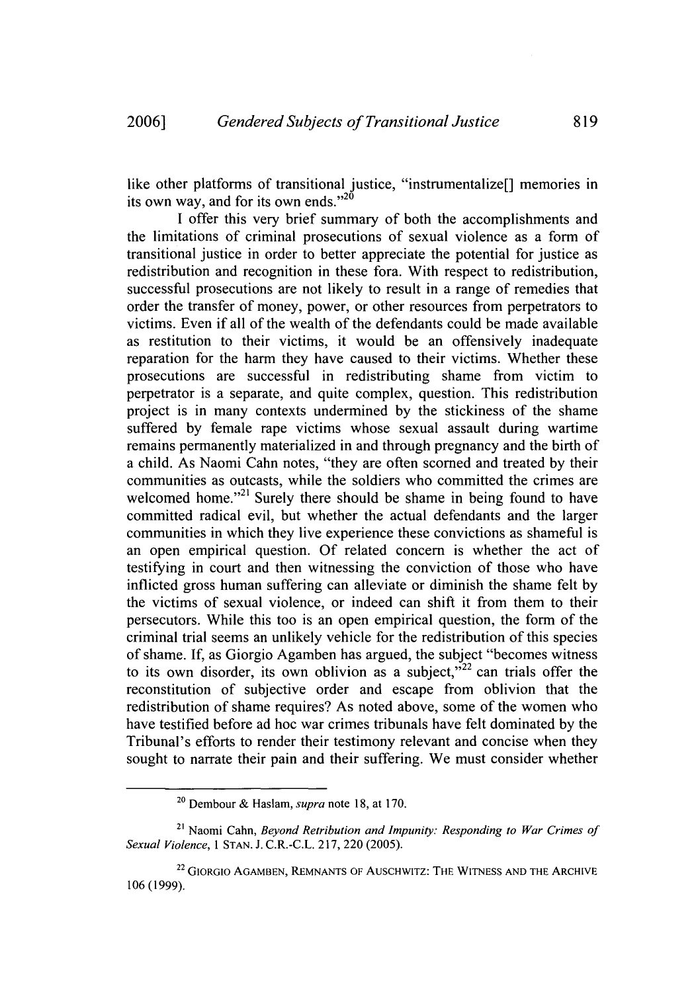like other platforms of transitional justice, "instrumentalize<sup>[]</sup> memories in its own way, and for its own ends." $2^{0}$ 

I offer this very brief summary of both the accomplishments and the limitations of criminal prosecutions of sexual violence as a form of transitional justice in order to better appreciate the potential for justice as redistribution and recognition in these fora. With respect to redistribution, successful prosecutions are not likely to result in a range of remedies that order the transfer of money, power, or other resources from perpetrators to victims. Even if all of the wealth of the defendants could be made available as restitution to their victims, it would be an offensively inadequate reparation for the harm they have caused to their victims. Whether these prosecutions are successful in redistributing shame from victim to perpetrator is a separate, and quite complex, question. This redistribution project is in many contexts undermined by the stickiness of the shame suffered by female rape victims whose sexual assault during wartime remains permanently materialized in and through pregnancy and the birth of a child. As Naomi Cahn notes, "they are often scorned and treated by their communities as outcasts, while the soldiers who committed the crimes are welcomed home."<sup>21</sup> Surely there should be shame in being found to have committed radical evil, but whether the actual defendants and the larger communities in which they live experience these convictions as shameful is an open empirical question. Of related concern is whether the act of testifying in court and then witnessing the conviction of those who have inflicted gross human suffering can alleviate or diminish the shame felt by the victims of sexual violence, or indeed can shift it from them to their persecutors. While this too is an open empirical question, the form of the criminal trial seems an unlikely vehicle for the redistribution of this species of shame. If, as Giorgio Agamben has argued, the subject "becomes witness to its own disorder, its own oblivion as a subject,  $v^{22}$  can trials offer the reconstitution of subjective order and escape from oblivion that the redistribution of shame requires? As noted above, some of the women who have testified before ad hoc war crimes tribunals have felt dominated by the Tribunal's efforts to render their testimony relevant and concise when they sought to narrate their pain and their suffering. We must consider whether

<sup>20</sup> Dembour & Haslam, *supra* note 18, at 170.

<sup>21</sup> Naomi Cahn, *Beyond Retribution and Impunity: Responding to War Crimes of Sexual Violence,* 1 **STAN.** J. C.R.-C.L. 217, 220 (2005).

**<sup>2</sup> <sup>2</sup>**GIORGIO **AGAMBEN, REMNANTS** OF AUSCHWITZ: THE **WITNESS AND** THE ARCHIVE 106 (1999).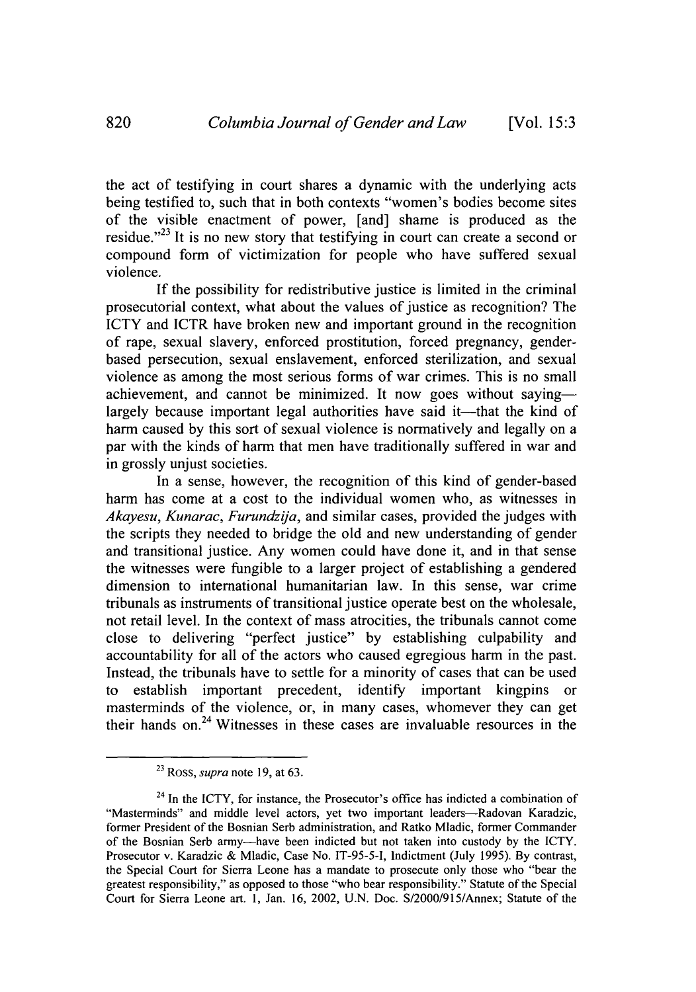the act of testifying in court shares a dynamic with the underlying acts being testified to, such that in both contexts "women's bodies become sites of the visible enactment of power, [and] shame is produced as the residue. $^{23}$  It is no new story that testifying in court can create a second or compound form of victimization for people who have suffered sexual violence.

If the possibility for redistributive justice is limited in the criminal prosecutorial context, what about the values of justice as recognition? The ICTY and ICTR have broken new and important ground in the recognition of rape, sexual slavery, enforced prostitution, forced pregnancy, genderbased persecution, sexual enslavement, enforced sterilization, and sexual violence as among the most serious forms of war crimes. This is no small achievement, and cannot be minimized. It now goes without sayinglargely because important legal authorities have said it—that the kind of harm caused by this sort of sexual violence is normatively and legally on a par with the kinds of harm that men have traditionally suffered in war and in grossly unjust societies.

In a sense, however, the recognition of this kind of gender-based harm has come at a cost to the individual women who, as witnesses in *Akayesu, Kunarac, Furundzija, and similar cases, provided the judges with* the scripts they needed to bridge the old and new understanding of gender and transitional justice. Any women could have done it, and in that sense the witnesses were fungible to a larger project of establishing a gendered dimension to international humanitarian law. In this sense, war crime tribunals as instruments of transitional justice operate best on the wholesale, not retail level. In the context of mass atrocities, the tribunals cannot come close to delivering "perfect justice" by establishing culpability and accountability for all of the actors who caused egregious harm in the past. Instead, the tribunals have to settle for a minority of cases that can be used to establish important precedent, identify important kingpins or masterminds of the violence, or, in many cases, whomever they can get their hands on. $24$  Witnesses in these cases are invaluable resources in the

<sup>23</sup> Ross, *supra* note 19, at 63.

 $24$  In the ICTY, for instance, the Prosecutor's office has indicted a combination of "Masterminds" and middle level actors, yet two important leaders-Radovan Karadzic, former President of the Bosnian Serb administration, and Ratko Mladic, former Commander of the Bosnian Serb army-have been indicted but not taken into custody by the ICTY. Prosecutor v. Karadzic & Mladic, Case No. IT-95-5-I, Indictment (July 1995). By contrast, the Special Court for Sierra Leone has a mandate to prosecute only those who "bear the greatest responsibility," as opposed to those "who bear responsibility." Statute of the Special Court for Sierra Leone art. 1, Jan. 16, 2002, U.N. Doc. S/2000/915/Annex; Statute of the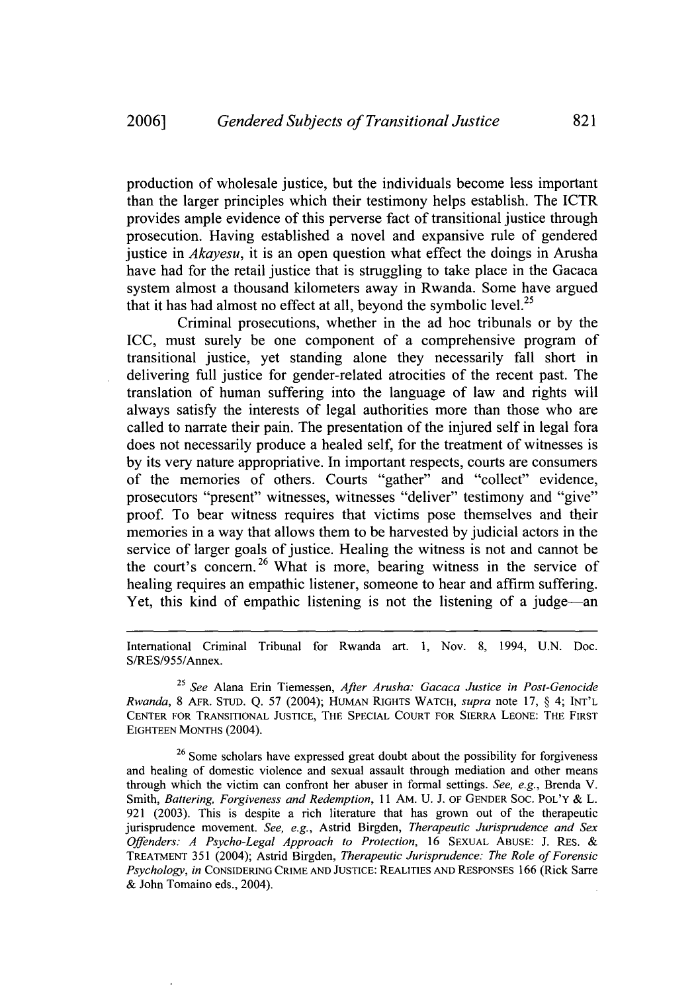production of wholesale justice, but the individuals become less important than the larger principles which their testimony helps establish. The ICTR provides ample evidence of this perverse fact of transitional justice through prosecution. Having established a novel and expansive rule of gendered justice in *Akayesu,* it is an open question what effect the doings in Arusha have had for the retail justice that is struggling to take place in the Gacaca system almost a thousand kilometers away in Rwanda. Some have argued that it has had almost no effect at all, beyond the symbolic level.<sup>25</sup>

Criminal prosecutions, whether in the ad hoc tribunals or by the ICC, must surely be one component of a comprehensive program of transitional justice, yet standing alone they necessarily fall short in delivering full justice for gender-related atrocities of the recent past. The translation of human suffering into the language of law and rights will always satisfy the interests of legal authorities more than those who are called to narrate their pain. The presentation of the injured self in legal fora does not necessarily produce a healed self, for the treatment of witnesses is by its very nature appropriative. In important respects, courts are consumers of the memories of others. Courts "gather" and "collect" evidence, prosecutors "present" witnesses, witnesses "deliver" testimony and "give" proof. To bear witness requires that victims pose themselves and their memories in a way that allows them to be harvested by judicial actors in the service of larger goals of justice. Healing the witness is not and cannot be the court's concern.<sup>26</sup> What is more, bearing witness in the service of healing requires an empathic listener, someone to hear and affirm suffering. Yet, this kind of empathic listening is not the listening of a judge-an

International Criminal Tribunal for Rwanda art. 1, Nov. 8, 1994, U.N. Doc. S/RES/955/Annex.

25 See Alana Erin Tiemessen, *After Arusha: Gacaca Justice in Post-Genocide Rwanda,* 8 AFR. **STUD.** Q. 57 (2004); HUMAN RIGHTS WATCH, *supra* note 17, § 4; **INT'L CENTER** FOR **TRANSITIONAL JUSTICE,** THE **SPECIAL COURT** FOR SIERRA **LEONE:** THE FIRST **EIGHTEEN MONTHS** (2004).

<sup>26</sup> Some scholars have expressed great doubt about the possibility for forgiveness and healing of domestic violence and sexual assault through mediation and other means through which the victim can confront her abuser in formal settings. *See, e.g.,* Brenda V. Smith, *Battering, Forgiveness and Redemption,* 11 AM. U. J. OF **GENDER SOC.** POL'Y & L. 921 (2003). This is despite a rich literature that has grown out of the therapeutic jurisprudence movement. *See,* e.g., Astrid Birgden, *Therapeutic Jurisprudence and Sex Offenders: A Psycho-Legal Approach to Protection,* 16 **SEXUAL ABUSE:** J. RES. & TREATMENT 351 (2004); Astrid Birgden, *Therapeutic Jurisprudence: The Role of Forensic Psychology, in* **CONSIDERING** CRIME **AND JUSTICE:** REALITIES **AND** RESPONSES 166 (Rick Sarre & John Tomaino eds., 2004).

821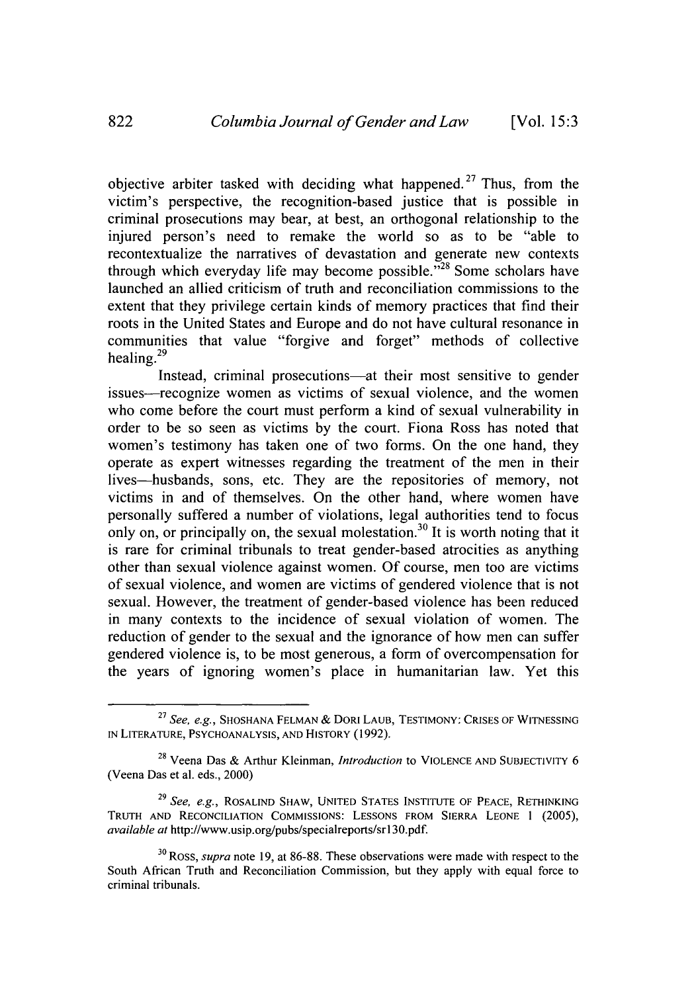objective arbiter tasked with deciding what happened.<sup>27</sup> Thus, from the victim's perspective, the recognition-based justice that is possible in criminal prosecutions may bear, at best, an orthogonal relationship to the injured person's need to remake the world so as to be "able to recontextualize the narratives of devastation and generate new contexts through which everyday life may become possible. $\frac{1}{28}$  Some scholars have launched an allied criticism of truth and reconciliation commissions to the extent that they privilege certain kinds of memory practices that find their roots in the United States and Europe and do not have cultural resonance in communities that value "forgive and forget" methods of collective healing. $^{29}$ 

Instead, criminal prosecutions—at their most sensitive to gender issues—recognize women as victims of sexual violence, and the women who come before the court must perform a kind of sexual vulnerability in order to be so seen as victims by the court. Fiona Ross has noted that women's testimony has taken one of two forms. On the one hand, they operate as expert witnesses regarding the treatment of the men in their lives-husbands, sons, etc. They are the repositories of memory, not victims in and of themselves. On the other hand, where women have personally suffered a number of violations, legal authorities tend to focus only on, or principally on, the sexual molestation.<sup>30</sup> It is worth noting that it is rare for criminal tribunals to treat gender-based atrocities as anything other than sexual violence against women. Of course, men too are victims of sexual violence, and women are victims of gendered violence that is not sexual. However, the treatment of gender-based violence has been reduced in many contexts to the incidence of sexual violation of women. The reduction of gender to the sexual and the ignorance of how men can suffer gendered violence is, to be most generous, a form of overcompensation for the years of ignoring women's place in humanitarian law. Yet this

<sup>27</sup>*See, e.g.,* **SHOSHANA FELMAN** & DORI **LAUB, TESTIMONY: CRISES** OF **WITNESSING IN** LITERATURE, **PSYCHOANALYSIS, AND** HISTORY (1992).

<sup>28</sup> Veena Das & Arthur Kleinman, *Introduction* to **VIOLENCE AND** SUBJECTIVITY 6 (Veena Das et al. eds., 2000)

<sup>29</sup>*See, e.g.,* ROSALIND SHAW, **UNITED STATES** INSTITUTE OF **PEACE,** RETHINKING TRUTH **AND RECONCILIATION COMMISSIONS: LESSONS** FROM SIERRA **LEONE 1** (2005), *available* at http://www.usip.org/pubs/specialreports/sr130.pdf.

**<sup>3</sup> <sup>0</sup>**Ross, *supra* note 19, at 86-88. These observations were made with respect to the South African Truth and Reconciliation Commission, but they apply with equal force to criminal tribunals.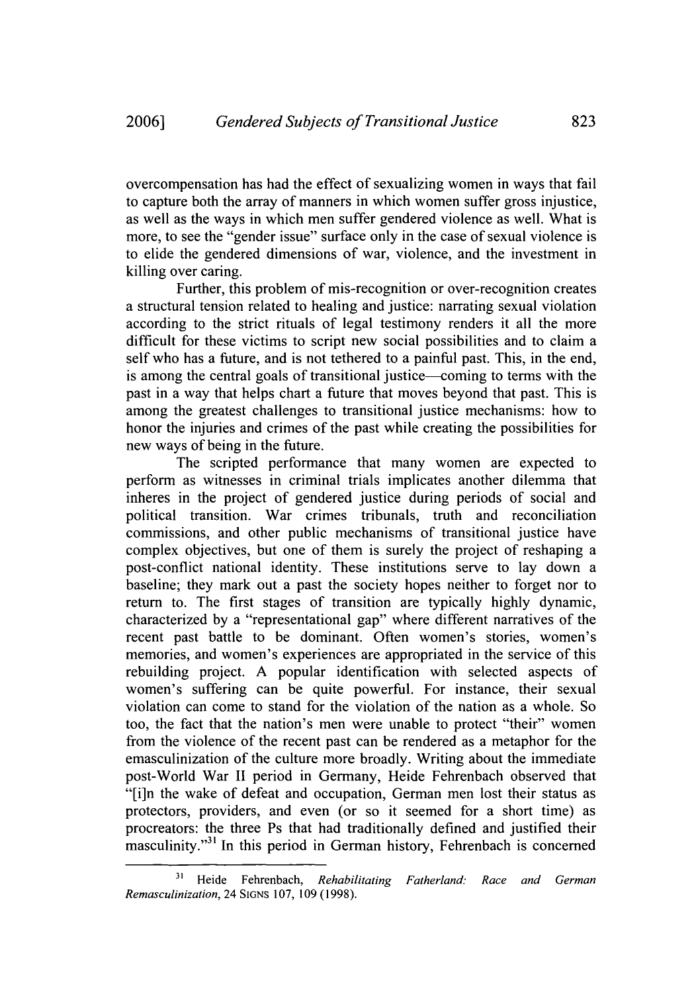overcompensation has had the effect of sexualizing women in ways that fail to capture both the array of manners in which women suffer gross injustice, as well as the ways in which men suffer gendered violence as well. What is more, to see the "gender issue" surface only in the case of sexual violence is to elide the gendered dimensions of war, violence, and the investment in killing over caring.

Further, this problem of mis-recognition or over-recognition creates a structural tension related to healing and justice: narrating sexual violation according to the strict rituals of legal testimony renders it all the more difficult for these victims to script new social possibilities and to claim a self who has a future, and is not tethered to a painful past. This, in the end, is among the central goals of transitional justice--coming to terms with the past in a way that helps chart a future that moves beyond that past. This is among the greatest challenges to transitional justice mechanisms: how to honor the injuries and crimes of the past while creating the possibilities for new ways of being in the future.

The scripted performance that many women are expected to perform as witnesses in criminal trials implicates another dilemma that inheres in the project of gendered justice during periods of social and political transition. War crimes tribunals, truth and reconciliation commissions, and other public mechanisms of transitional justice have complex objectives, but one of them is surely the project of reshaping a post-conflict national identity. These institutions serve to lay down a baseline; they mark out a past the society hopes neither to forget nor to return to. The first stages of transition are typically highly dynamic, characterized by a "representational gap" where different narratives of the recent past battle to be dominant. Often women's stories, women's memories, and women's experiences are appropriated in the service of this rebuilding project. A popular identification with selected aspects of women's suffering can be quite powerful. For instance, their sexual violation can come to stand for the violation of the nation as a whole. So too, the fact that the nation's men were unable to protect "their" women from the violence of the recent past can be rendered as a metaphor for the emasculinization of the culture more broadly. Writing about the immediate post-World War II period in Germany, Heide Fehrenbach observed that "[i]n the wake of defeat and occupation, German men lost their status as protectors, providers, and even (or so it seemed for a short time) as procreators: the three Ps that had traditionally defined and justified their masculinity."<sup>31</sup> In this period in German history, Fehrenbach is concerned

<sup>&</sup>lt;sup>31</sup> Heide Fehrenbach, *Rehabilitating Fatherland: Race and German Remasculinization,* 24 SIGNS 107, 109 (1998).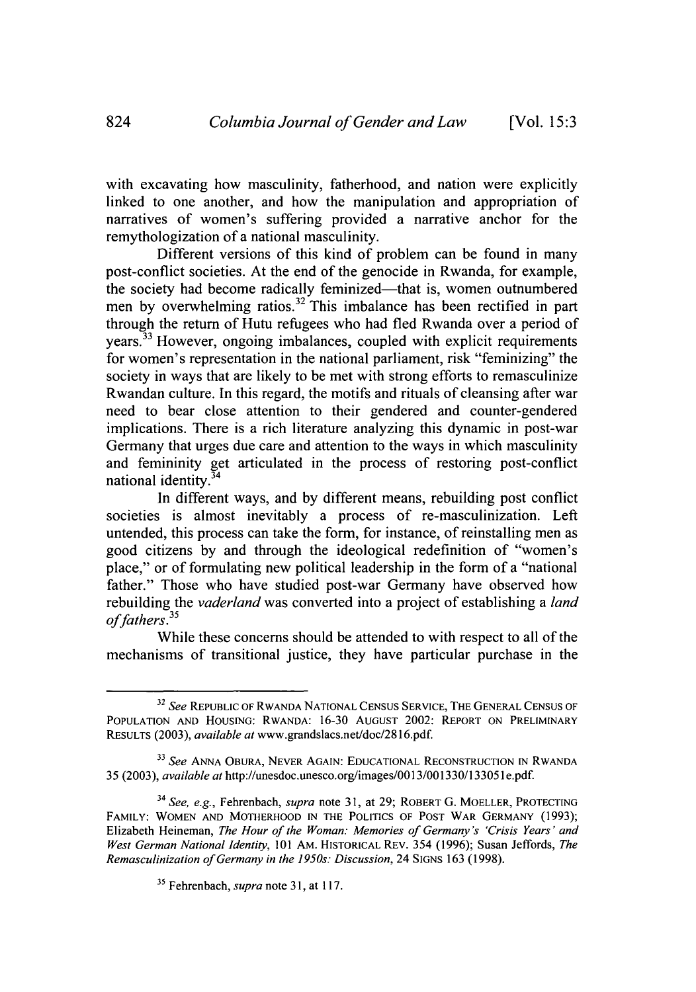with excavating how masculinity, fatherhood, and nation were explicitly linked to one another, and how the manipulation and appropriation of narratives of women's suffering provided a narrative anchor for the remythologization of a national masculinity.

Different versions of this kind of problem can be found in many post-conflict societies. At the end of the genocide in Rwanda, for example, the society had become radically feminized—that is, women outnumbered men by overwhelming ratios.<sup>32</sup> This imbalance has been rectified in part through the return of Hutu refugees who had fled Rwanda over a period of years.33 However, ongoing imbalances, coupled with explicit requirements for women's representation in the national parliament, risk "feminizing" the society in ways that are likely to be met with strong efforts to remasculinize Rwandan culture. In this regard, the motifs and rituals of cleansing after war need to bear close attention to their gendered and counter-gendered implications. There is a rich literature analyzing this dynamic in post-war Germany that urges due care and attention to the ways in which masculinity and femininity get articulated in the process of restoring post-conflict national identity.34

In different ways, and by different means, rebuilding post conflict societies is almost inevitably a process of re-masculinization. Left untended, this process can take the form, for instance, of reinstalling men as good citizens by and through the ideological redefinition of "women's place," or of formulating new political leadership in the form of a "national father." Those who have studied post-war Germany have observed how rebuilding the *vaderland* was converted into a project of establishing a *land* of fathers.<sup>35</sup>

While these concerns should be attended to with respect to all of the mechanisms of transitional justice, they have particular purchase in the

**<sup>32</sup>***See* REPUBLIC OF RWANDA NATIONAL CENSUS SERVICE, THE GENERAL CENSUS OF POPULATION AND HOUSING: RWANDA: 16-30 AUGUST 2002: REPORT ON PRELIMINARY RESULTS (2003), *available* at www.grandslacs.net/doc/2816.pdf.

**<sup>33</sup>***See* ANNA OBURA, NEVER AGAIN: EDUCATIONAL RECONSTRUCTION IN RWANDA 35 (2003), *available at* http://unesdoc.unesco.org/images/0013/001330/133051 e.pdf.

**<sup>34</sup>***See, e.g.,* Fehrenbach, *supra* note 31, at 29; ROBERT **G.** MOELLER, PROTECTING FAMILY: WOMEN AND MOTHERHOOD IN THE POLITICS OF POST WAR GERMANY (1993); Elizabeth Heineman, *The Hour of the Woman: Memories of Germany's 'Crisis Years' and West German National Identity,* 101 AM. HISTORICAL REV. 354 (1996); Susan Jeffords, *The Remasculinization of Germany in the 1950s: Discussion,* 24 SIGNS 163 (1998).

**<sup>35</sup>**Fehrenbach, *supra* note 31, at 117.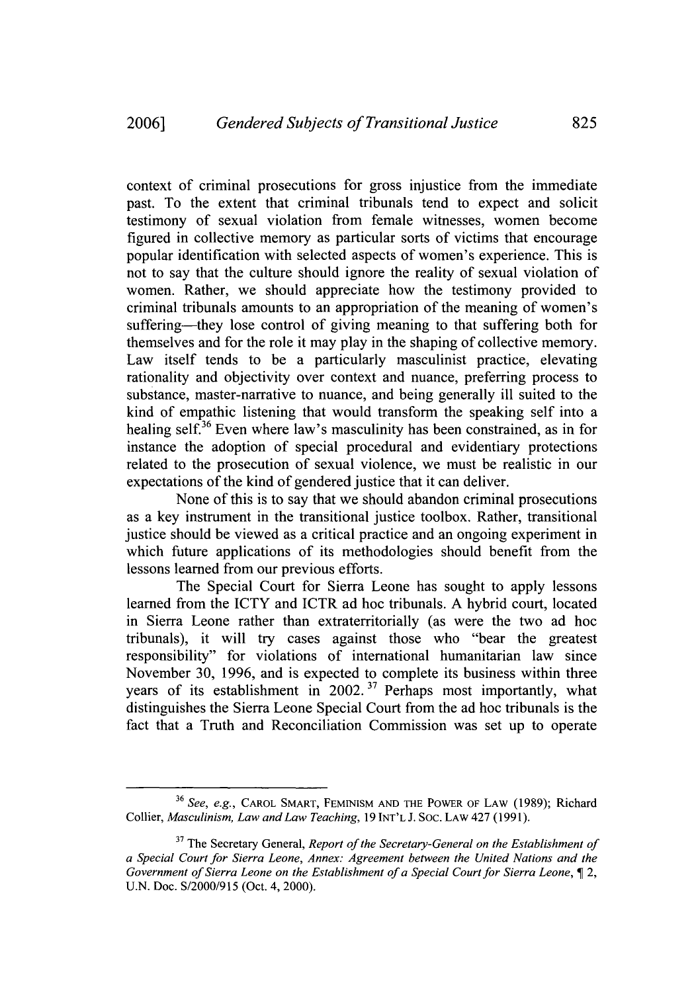context of criminal prosecutions for gross injustice from the immediate past. To the extent that criminal tribunals tend to expect and solicit testimony of sexual violation from female witnesses, women become figured in collective memory as particular sorts of victims that encourage popular identification with selected aspects of women's experience. This is not to say that the culture should ignore the reality of sexual violation of women. Rather, we should appreciate how the testimony provided to criminal tribunals amounts to an appropriation of the meaning of women's suffering—they lose control of giving meaning to that suffering both for themselves and for the role it may play in the shaping of collective memory. Law itself tends to be a particularly masculinist practice, elevating rationality and objectivity over context and nuance, preferring process to substance, master-narrative to nuance, and being generally ill suited to the kind of empathic listening that would transform the speaking self into a healing self.<sup>36</sup> Even where law's masculinity has been constrained, as in for instance the adoption of special procedural and evidentiary protections related to the prosecution of sexual violence, we must be realistic in our expectations of the kind of gendered justice that it can deliver.

None of this is to say that we should abandon criminal prosecutions as a key instrument in the transitional justice toolbox. Rather, transitional justice should be viewed as a critical practice and an ongoing experiment in which future applications of its methodologies should benefit from the lessons learned from our previous efforts.

The Special Court for Sierra Leone has sought to apply lessons learned from the ICTY and ICTR ad hoc tribunals. A hybrid court, located in Sierra Leone rather than extraterritorially (as were the two ad hoc tribunals), it will try cases against those who "bear the greatest responsibility" for violations of international humanitarian law since November 30, 1996, and is expected to complete its business within three years of its establishment in  $2002$ .<sup>37</sup> Perhaps most importantly, what distinguishes the Sierra Leone Special Court from the ad hoc tribunals is the fact that a Truth and Reconciliation Commission was set up to operate

<sup>36</sup> *See, e.g.,* CAROL SMART, **FEMINISM AND** THE POWER OF LAW (1989); Richard Collier, *Masculinism, Law and Law Teaching,* 19 **INT'L** J. Soc. LAW 427 (1991).

**<sup>37</sup>**The Secretary General, *Report of the Secretary-General on the Establishment of a Special Court for Sierra Leone, Annex: Agreement between the United Nations and the Government of Sierra Leone on the Establishment of a Special Court for Sierra Leone,* 12, U.N. Doc. S/2000/915 (Oct. 4, 2000).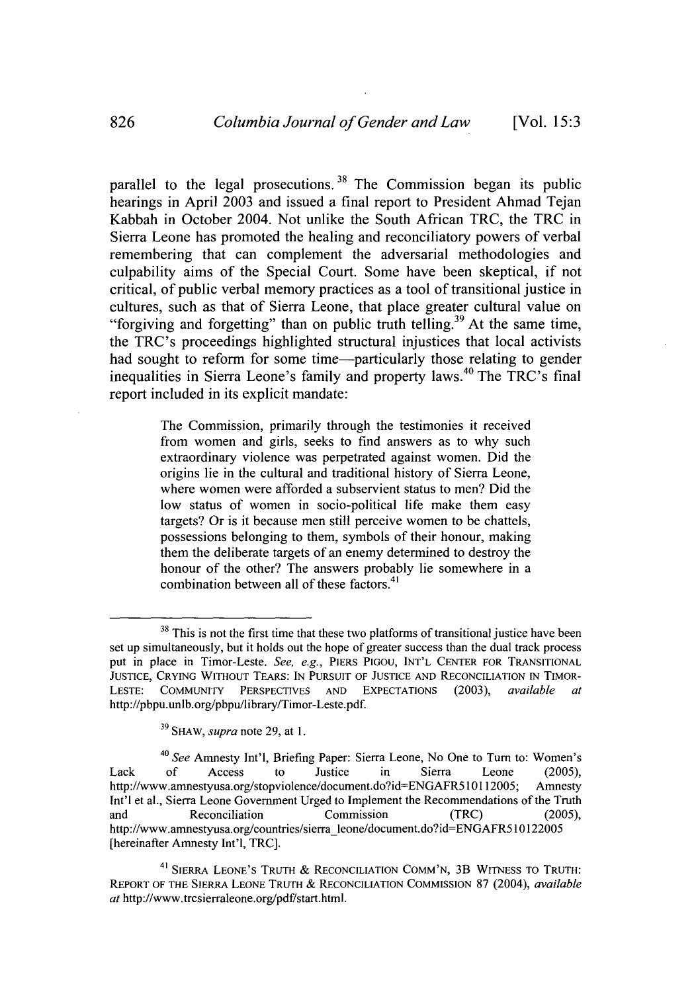parallel to the legal prosecutions.<sup>38</sup> The Commission began its public hearings in April 2003 and issued a final report to President Ahmad Tejan Kabbah in October 2004. Not unlike the South African TRC, the TRC in Sierra Leone has promoted the healing and reconciliatory powers of verbal remembering that can complement the adversarial methodologies and culpability aims of the Special Court. Some have been skeptical, if not critical, of public verbal memory practices as a tool of transitional justice in cultures, such as that of Sierra Leone, that place greater cultural value on "forgiving and forgetting" than on public truth telling.<sup>39</sup> At the same time, the TRC's proceedings highlighted structural injustices that local activists had sought to reform for some time—particularly those relating to gender inequalities in Sierra Leone's family and property laws.<sup>40</sup> The TRC's final report included in its explicit mandate:

> The Commission, primarily through the testimonies it received from women and girls, seeks to find answers as to why such extraordinary violence was perpetrated against women. Did the origins lie in the cultural and traditional history of Sierra Leone, where women were afforded a subservient status to men? Did the low status of women in socio-political life make them easy targets? Or is it because men still perceive women to be chattels, possessions belonging to them, symbols of their honour, making them the deliberate targets of an enemy determined to destroy the honour of the other? The answers probably lie somewhere in a combination between all of these factors.<sup>41</sup>

<sup>&</sup>lt;sup>38</sup> This is not the first time that these two platforms of transitional justice have been set up simultaneously, but it holds out the hope of greater success than the dual track process put in place in Timor-Leste. *See, e.g.,* PIERS **PIGOU, INT'L CENTER** FOR TRANSITIONAL **JUSTICE, CRYING** WITHOUT TEARS: **IN PURSUIT** OF **JUSTICE AND RECONCILIATION** IN TIMOR-**LESTE: COMMUNITY** PERSPECTIVES **AND EXPECTATIONS** (2003), *available at* http://pbpu.unlb.org/pbpu/library/Timor-Leste.pdf.

**<sup>39</sup>**S1AW, *supra* note 29, at 1.

*<sup>4</sup> 0 See* Amnesty Int'l, Briefing Paper: Sierra Leone, No One to Turn to: Women's Lack of Access to Justice in Sierra Leone (2005) http://www.amnestyusa.org/stopviolence/document.do?id=ENGAFR510112005; Amnesty Int'l et al., Sierra Leone Government Urged to Implement the Recommendations of the Truth and Reconciliation Commission (TRC) (2005), http://www.amnestyusa.org/countries/sierra-leone/document.do?id=ENGAFR510122005 [hereinafter Amnesty Int'l, TRC].

<sup>41</sup> SIERRA LEONE'S TRUTH & RECONCILIATION **COMM'N,** 3B **WITNESS** TO TRUTH: REPORT OF THE SIERRA **LEONE** TRUTH & RECONCILIATION **COMMISSION** 87 (2004), *available* at http://www.trcsierraleone.org/pdf/start.html.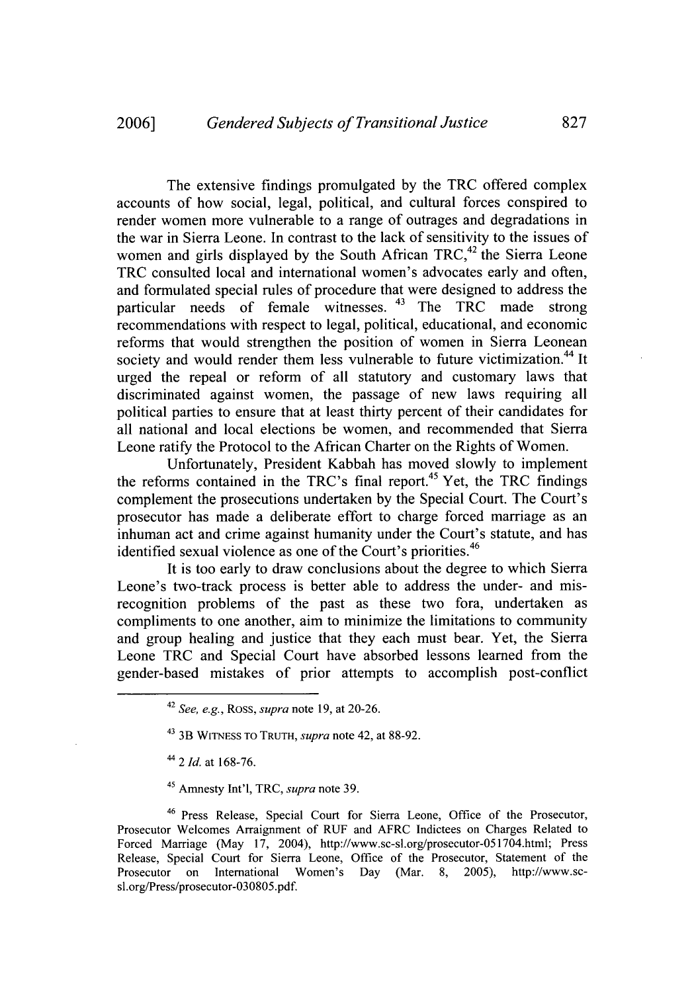The extensive findings promulgated by the TRC offered complex accounts of how social, legal, political, and cultural forces conspired to render women more vulnerable to a range of outrages and degradations in the war in Sierra Leone. In contrast to the lack of sensitivity to the issues of women and girls displayed by the South African TRC, $42$  the Sierra Leone TRC consulted local and international women's advocates early and often, and formulated special rules of procedure that were designed to address the particular needs of female witnesses.  $43$  The TRC made strong recommendations with respect to legal, political, educational, and economic reforms that would strengthen the position of women in Sierra Leonean society and would render them less vulnerable to future victimization.<sup>44</sup> It urged the repeal or reform of all statutory and customary laws that discriminated against women, the passage of new laws requiring all political parties to ensure that at least thirty percent of their candidates for all national and local elections be women, and recommended that Sierra Leone ratify the Protocol to the African Charter on the Rights of Women.

Unfortunately, President Kabbah has moved slowly to implement the reforms contained in the TRC's final report.<sup>45</sup> Yet, the TRC findings complement the prosecutions undertaken by the Special Court. The Court's prosecutor has made a deliberate effort to charge forced marriage as an inhuman act and crime against humanity under the Court's statute, and has identified sexual violence as one of the Court's priorities.<sup>46</sup>

It is too early to draw conclusions about the degree to which Sierra Leone's two-track process is better able to address the under- and misrecognition problems of the past as these two fora, undertaken as compliments to one another, aim to minimize the limitations to community and group healing and justice that they each must bear. Yet, the Sierra Leone TRC and Special Court have absorbed lessons learned from the gender-based mistakes of prior attempts to accomplish post-conflict

45 Amnesty Int'l, TRC, *supra* note 39.

<sup>42</sup>*See, e.g.,* Ross, *supra* note 19, at 20-26.

<sup>43 3</sup>B WITNESS To TRUTH, *supra* note 42, at 88-92.

*<sup>44</sup>*2 *Id.* at 168-76.

<sup>46</sup> Press Release, Special Court for Sierra Leone, Office of the Prosecutor, Prosecutor Welcomes Arraignment of RUF and AFRC Indictees on Charges Related to Forced Marriage (May 17, 2004), http://www.sc-sl.org/prosecutor-051704.html; Press Release, Special Court for Sierra Leone, Office of the Prosecutor, Statement of the Prosecutor on International Women's Day (Mar. 8, 2005), http://www.scsl.org/Press/prosecutor-030805.pdf.